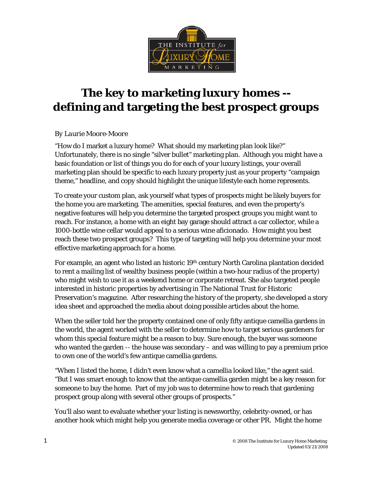

# **The key to marketing luxury homes - defining and targeting the best prospect groups**

#### *By Laurie Moore-Moore*

"How do I market a luxury home? What should my marketing plan look like?" Unfortunately, there is no single "silver bullet" marketing plan. Although you might have a basic foundation or list of things you do for each of your luxury listings, your overall marketing plan should be specific to each luxury property just as your property "campaign theme," headline, and copy should highlight the unique lifestyle each home represents.

To create your custom plan, ask yourself what types of prospects might be likely buyers for the home you are marketing. The amenities, special features, and even the property's negative features will help you determine the targeted prospect groups you might want to reach. For instance, a home with an eight bay garage should attract a car collector, while a 1000-bottle wine cellar would appeal to a serious wine aficionado. How might you best reach these two prospect groups? This type of targeting will help you determine your most effective marketing approach for a home.

For example, an agent who listed an historic 19th century North Carolina plantation decided to rent a mailing list of wealthy business people (within a two-hour radius of the property) who might wish to use it as a weekend home or corporate retreat. She also targeted people interested in historic properties by advertising in The National Trust for Historic Preservation's magazine. After researching the history of the property, she developed a story idea sheet and approached the media about doing possible articles about the home.

When the seller told her the property contained one of only fifty antique camellia gardens in the world, the agent worked with the seller to determine how to target serious gardeners for whom this special feature might be a reason to buy. Sure enough, the buyer was someone who wanted the garden -- the house was secondary – and was willing to pay a premium price to own one of the world's few antique camellia gardens.

"When I listed the home, I didn't even know what a camellia looked like," the agent said. "But I was smart enough to know that the antique camellia garden might be a key reason for someone to buy the home. Part of my job was to determine how to reach that gardening prospect group along with several other groups of prospects."

You'll also want to evaluate whether your listing is newsworthy, celebrity-owned, or has another hook which might help you generate media coverage or other PR. Might the home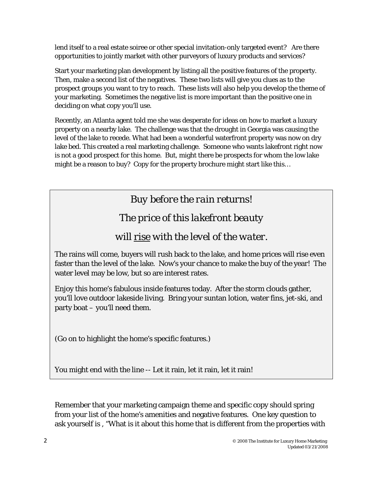lend itself to a real estate soiree or other special invitation-only targeted event? Are there opportunities to jointly market with other purveyors of luxury products and services?

Start your marketing plan development by listing all the positive features of the property. Then, make a second list of the negatives. These two lists will give you clues as to the prospect groups you want to try to reach. These lists will also help you develop the theme of your marketing. Sometimes the negative list is more important than the positive one in deciding on what copy you'll use.

Recently, an Atlanta agent told me she was desperate for ideas on how to market a luxury property on a nearby lake. The challenge was that the drought in Georgia was causing the level of the lake to recede. What had been a wonderful waterfront property was now on dry lake bed. This created a real marketing challenge. Someone who wants lakefront right now is not a good prospect for this home. But, might there be prospects for whom the low lake might be a reason to buy? Copy for the property brochure might start like this…

*Buy before the rain returns! The price of this lakefront beauty will rise with the level of the water.*  The rains will come, buyers will rush back to the lake, and home prices will rise even

faster than the level of the lake. Now's your chance to make the buy of the year! The water level may be low, but so are interest rates.

Enjoy this home's fabulous *inside* features today. After the storm clouds gather, you'll love *outdoor* lakeside living. Bring your suntan lotion, water fins, jet-ski, and party boat – you'll need them.

(Go on to highlight the home's specific features.)

You might end with the line -- Let it rain, let it rain, let it rain!

Remember that your marketing campaign theme and specific copy should spring from your list of the home's amenities and negative features. One key question to ask yourself is , "What is it about this home that is different from the properties with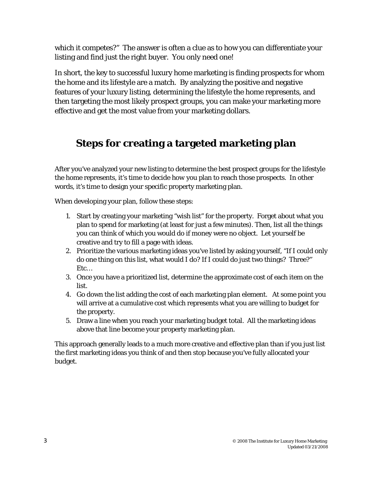which it competes?" The answer is often a clue as to how you can differentiate your listing and find just the right buyer. You only need one!

In short, the key to successful luxury home marketing is finding prospects for whom the home and its lifestyle are a match. By analyzing the positive and negative features of your luxury listing, determining the lifestyle the home represents, and then targeting the most likely prospect groups, you can make your marketing more effective and get the most value from your marketing dollars.

### **Steps for creating a targeted marketing plan**

After you've analyzed your new listing to determine the best prospect groups for the lifestyle the home represents, it's time to decide *how* you plan to reach those prospects. In other words, it's time to design your specific property marketing plan.

When developing your plan, follow these steps:

- 1. Start by creating your marketing "wish list" for the property. Forget about what you plan to spend for marketing (at least for just a few minutes). Then, list all the things you can think of which you would do if money were no object. Let yourself be creative and try to fill a page with ideas.
- 2. Prioritize the various marketing ideas you've listed by asking yourself, "If I could only do one thing on this list, what would I do? If I could do just two things? Three?" Etc…
- 3. Once you have a prioritized list, determine the approximate cost of each item on the list.
- 4. Go down the list adding the cost of each marketing plan element. At some point you will arrive at a cumulative cost which represents what you are willing to budget for the property.
- 5. Draw a line when you reach your marketing budget total. All the marketing ideas above that line become your property marketing plan.

This approach generally leads to a much more creative and effective plan than if you just list the first marketing ideas you think of and then stop because you've fully allocated your budget.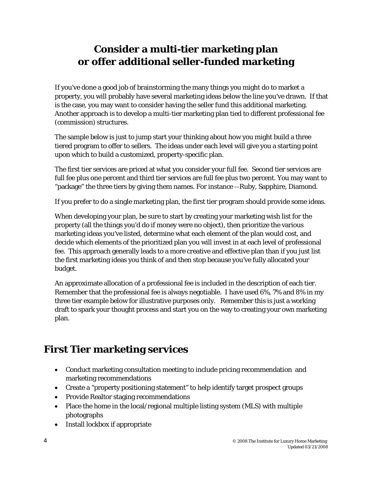### **Consider a multi-tier marketing plan or offer additional seller-funded marketing**

If you've done a good job of brainstorming the many things you might do to market a property, you will probably have several marketing ideas below the line you've drawn. If that is the case, you may want to consider having the seller fund this additional marketing. Another approach is to develop a multi-tier marketing plan tied to different professional fee (commission) structures.

The sample below is just to jump start your thinking about how you might build a three tiered program to offer to sellers. The ideas under each level will give you a starting point upon which to build a customized, property-specific plan.

The first tier services are priced at what you consider your full fee. Second tier services are full fee plus one percent and third tier services are full fee plus two percent. You may want to "package" the three tiers by giving them names. For instance --Ruby, Sapphire, Diamond.

If you prefer to do a single marketing plan, the first tier program should provide some ideas.

When developing your plan, be sure to start by creating your marketing wish list for the property (all the things you'd do if money were no object), then prioritize the various marketing ideas you've listed, determine what each element of the plan would cost, and decide which elements of the prioritized plan you will invest in at each level of professional fee. This approach generally leads to a more creative and effective plan than if you just list the first marketing ideas you think of and then stop because you've fully allocated your budget.

An approximate allocation of a professional fee is included in the description of each tier. Remember that the professional fee is always negotiable. I have used 6%, 7% and 8% in my three tier example below for illustrative purposes only. Remember this is just a working draft to spark your thought process and start you on the way to creating your own marketing plan.

## **First Tier marketing services**

- Conduct marketing consultation meeting to include pricing recommendation and marketing recommendations
- Create a "property positioning statement" to help identify target prospect groups
- Provide Realtor staging recommendations
- Place the home in the local/regional multiple listing system (MLS) with multiple photographs
- Install lockbox if appropriate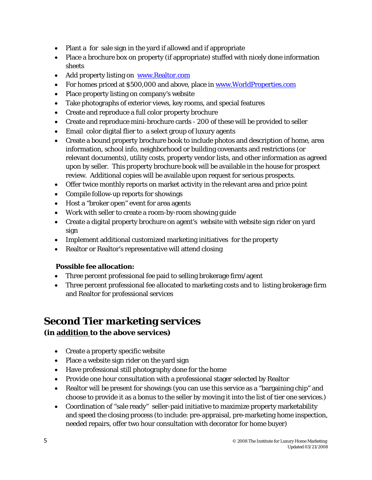- Plant a for sale sign in the yard if allowed and if appropriate
- Place a brochure box on property (if appropriate) stuffed with nicely done information sheets
- Add property listing on www.Realtor.com
- For homes priced at \$500,000 and above, place in [www.WorldProperties.com](http://www.worldproperties.com/)
- Place property listing on company's website
- Take photographs of exterior views, key rooms, and special features
- Create and reproduce a full color property brochure
- Create and reproduce mini-brochure cards 200 of these will be provided to seller
- Email color digital flier to a select group of luxury agents
- Create a bound property brochure book to include photos and description of home, area information, school info, neighborhood or building covenants and restrictions (or relevant documents), utility costs, property vendor lists, and other information as agreed upon by seller. This property brochure book will be available in the house for prospect review. Additional copies will be available upon request for serious prospects.
- Offer twice monthly reports on market activity in the relevant area and price point
- Compile follow-up reports for showings
- Host a "broker open" event for area agents
- Work with seller to create a room-by-room showing guide
- Create a digital property brochure on agent's website with website sign rider on yard sign
- Implement additional customized marketing initiatives for the property
- Realtor or Realtor's representative will attend closing

#### **Possible fee allocation:**

- Three percent professional fee paid to selling brokerage firm/agent
- Three percent professional fee allocated to marketing costs and to listing brokerage firm and Realtor for professional services

### **Second Tier marketing services**

### **(in addition to the above services)**

- Create a property specific website
- Place a website sign rider on the yard sign
- Have professional still photography done for the home
- Provide one hour consultation with a professional stager selected by Realtor
- Realtor will be present for showings (you can use this service as a "bargaining chip" and choose to provide it as a bonus to the seller by moving it into the list of tier one services.)
- Coordination of "sale ready" seller-paid initiative to maximize property marketability and speed the closing process (to include: pre-appraisal, pre-marketing home inspection, needed repairs, offer two hour consultation with decorator for home buyer)